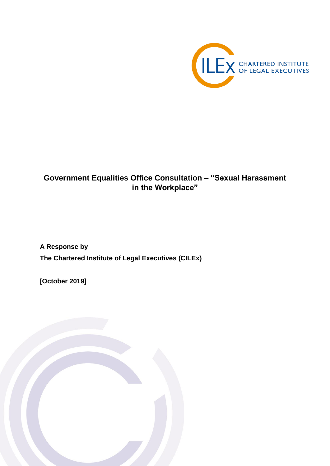

# **Government Equalities Office Consultation – "Sexual Harassment in the Workplace"**

**A Response by The Chartered Institute of Legal Executives (CILEx)**

**[October 2019]**

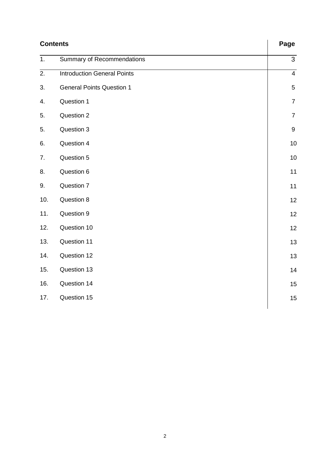| <b>Contents</b>  |                                    | Page             |
|------------------|------------------------------------|------------------|
| 1.               | Summary of Recommendations         | 3                |
| $\overline{2}$ . | <b>Introduction General Points</b> | $\overline{4}$   |
| 3.               | <b>General Points Question 1</b>   | $\sqrt{5}$       |
| 4.               | Question 1                         | $\overline{7}$   |
| 5.               | Question 2                         | $\overline{7}$   |
| 5.               | Question 3                         | $\boldsymbol{9}$ |
| 6.               | Question 4                         | 10               |
| 7.               | Question 5                         | 10               |
| 8.               | Question 6                         | 11               |
| 9.               | Question 7                         | 11               |
| 10.              | Question 8                         | 12               |
| 11.              | Question 9                         | 12               |
| 12.              | Question 10                        | 12               |
| 13.              | Question 11                        | 13               |
| 14.              | Question 12                        | 13               |
| 15.              | Question 13                        | 14               |
| 16.              | Question 14                        | 15               |
| 17.              | Question 15                        | 15               |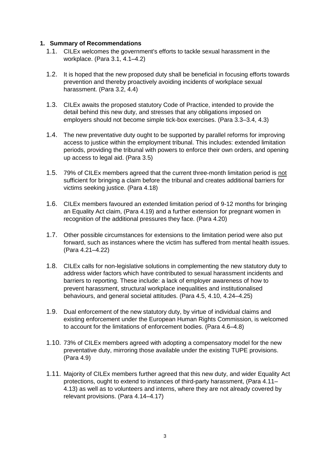#### **1. Summary of Recommendations**

- 1.1. CILEx welcomes the government's efforts to tackle sexual harassment in the workplace. (Para 3.1, 4.1–4.2)
- 1.2. It is hoped that the new proposed duty shall be beneficial in focusing efforts towards prevention and thereby proactively avoiding incidents of workplace sexual harassment. (Para 3.2, 4.4)
- 1.3. CILEx awaits the proposed statutory Code of Practice, intended to provide the detail behind this new duty, and stresses that any obligations imposed on employers should not become simple tick-box exercises. (Para 3.3–3.4, 4.3)
- 1.4. The new preventative duty ought to be supported by parallel reforms for improving access to justice within the employment tribunal. This includes: extended limitation periods, providing the tribunal with powers to enforce their own orders, and opening up access to legal aid. (Para 3.5)
- 1.5. 79% of CILEx members agreed that the current three-month limitation period is not sufficient for bringing a claim before the tribunal and creates additional barriers for victims seeking justice. (Para 4.18)
- 1.6. CILEx members favoured an extended limitation period of 9-12 months for bringing an Equality Act claim, (Para 4.19) and a further extension for pregnant women in recognition of the additional pressures they face. (Para 4.20)
- 1.7. Other possible circumstances for extensions to the limitation period were also put forward, such as instances where the victim has suffered from mental health issues. (Para 4.21–4.22)
- 1.8. CILEx calls for non-legislative solutions in complementing the new statutory duty to address wider factors which have contributed to sexual harassment incidents and barriers to reporting. These include: a lack of employer awareness of how to prevent harassment, structural workplace inequalities and institutionalised behaviours, and general societal attitudes. (Para 4.5, 4.10, 4.24–4.25)
- 1.9. Dual enforcement of the new statutory duty, by virtue of individual claims and existing enforcement under the European Human Rights Commission, is welcomed to account for the limitations of enforcement bodies. (Para 4.6–4.8)
- 1.10. 73% of CILEx members agreed with adopting a compensatory model for the new preventative duty, mirroring those available under the existing TUPE provisions. (Para 4.9)
- 1.11. Majority of CILEx members further agreed that this new duty, and wider Equality Act protections, ought to extend to instances of third-party harassment, (Para 4.11– 4.13) as well as to volunteers and interns, where they are not already covered by relevant provisions. (Para 4.14–4.17)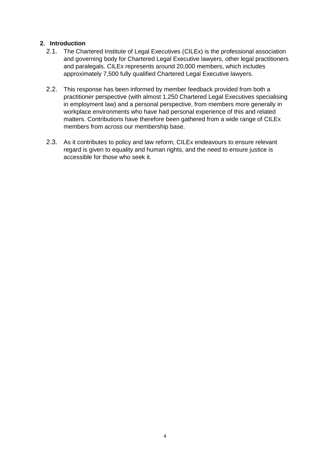#### **2. Introduction**

- 2.1. The Chartered Institute of Legal Executives (CILEx) is the professional association and governing body for Chartered Legal Executive lawyers, other legal practitioners and paralegals. CILEx represents around 20,000 members, which includes approximately 7,500 fully qualified Chartered Legal Executive lawyers.
- 2.2. This response has been informed by member feedback provided from both a practitioner perspective (with almost 1,250 Chartered Legal Executives specialising in employment law) and a personal perspective, from members more generally in workplace environments who have had personal experience of this and related matters. Contributions have therefore been gathered from a wide range of CILEx members from across our membership base.
- 2.3. As it contributes to policy and law reform, CILEx endeavours to ensure relevant regard is given to equality and human rights, and the need to ensure justice is accessible for those who seek it.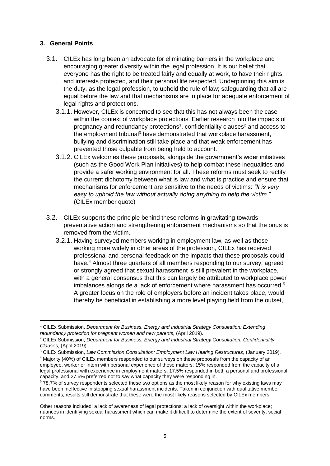#### **3. General Points**

- 3.1. CILEx has long been an advocate for eliminating barriers in the workplace and encouraging greater diversity within the legal profession. It is our belief that everyone has the right to be treated fairly and equally at work, to have their rights and interests protected, and their personal life respected. Underpinning this aim is the duty, as the legal profession, to uphold the rule of law; safeguarding that all are equal before the law and that mechanisms are in place for adequate enforcement of legal rights and protections.
	- 3.1.1. However, CILEx is concerned to see that this has not always been the case within the context of workplace protections. Earlier research into the impacts of pregnancy and redundancy protections<sup>1</sup>, confidentiality clauses<sup>2</sup> and access to the employment tribunal<sup>3</sup> have demonstrated that workplace harassment, bullying and discrimination still take place and that weak enforcement has prevented those culpable from being held to account.
	- 3.1.2. CILEx welcomes these proposals, alongside the government's wider initiatives (such as the Good Work Plan initiatives) to help combat these inequalities and provide a safer working environment for all. These reforms must seek to rectify the current dichotomy between what is law and what is practice and ensure that mechanisms for enforcement are sensitive to the needs of victims: *"It is very easy to uphold the law without actually doing anything to help the victim."*  (CILEx member quote)
- 3.2. CILEx supports the principle behind these reforms in gravitating towards preventative action and strengthening enforcement mechanisms so that the onus is removed from the victim.
	- 3.2.1. Having surveyed members working in employment law, as well as those working more widely in other areas of the profession, CILEx has received professional and personal feedback on the impacts that these proposals could have.<sup>4</sup> Almost three quarters of all members responding to our survey, agreed or strongly agreed that sexual harassment is still prevalent in the workplace, with a general consensus that this can largely be attributed to workplace power imbalances alongside a lack of enforcement where harassment has occurred.<sup>5</sup> A greater focus on the role of employers before an incident takes place, would thereby be beneficial in establishing a more level playing field from the outset,

<sup>1</sup> CILEx Submission, *Department for Business, Energy and Industrial Strategy Consultation: Extending*  redundancy protection for pregnant women and new parents, (April 2019).

<sup>2</sup> CILEx Submission, *Department for Business, Energy and Industrial Strategy Consultation: Confidentiality Clauses,* (April 2019).

<sup>&</sup>lt;sup>3</sup> CILEx Submission, Law Commission Consultation: Employment Law Hearing Restructures, (January 2019).

<sup>4</sup> Majority (40%) of CILEx members responded to our surveys on these proposals from the capacity of an employee, worker or intern with personal experience of these matters; 15% responded from the capacity of a legal professional with experience in employment matters; 17.5% responded in both a personal and professional capacity, and 27.5% preferred not to say what capacity they were responding in.

<sup>&</sup>lt;sup>5</sup> 78.7% of survey respondents selected these two options as the most likely reason for why existing laws may have been ineffective in stopping sexual harassment incidents. Taken in conjunction with qualitative member comments, results still demonstrate that these were the most likely reasons selected by CILEx members.

Other reasons included: a lack of awareness of legal protections; a lack of oversight within the workplace; nuances in identifying sexual harassment which can make it difficult to determine the extent of severity; social norms.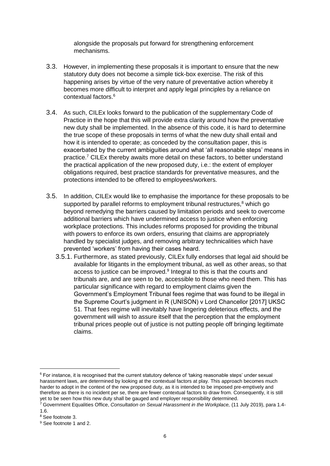alongside the proposals put forward for strengthening enforcement mechanisms.

- 3.3. However, in implementing these proposals it is important to ensure that the new statutory duty does not become a simple tick-box exercise. The risk of this happening arises by virtue of the very nature of preventative action whereby it becomes more difficult to interpret and apply legal principles by a reliance on contextual factors.<sup>6</sup>
- 3.4. As such, CILEx looks forward to the publication of the supplementary Code of Practice in the hope that this will provide extra clarity around how the preventative new duty shall be implemented. In the absence of this code, it is hard to determine the true scope of these proposals in terms of what the new duty shall entail and how it is intended to operate; as conceded by the consultation paper, this is exacerbated by the current ambiguities around what 'all reasonable steps' means in practice.<sup>7</sup> CILEx thereby awaits more detail on these factors, to better understand the practical application of the new proposed duty, i.e.: the extent of employer obligations required, best practice standards for preventative measures, and the protections intended to be offered to employees/workers.
- 3.5. In addition, CILEx would like to emphasise the importance for these proposals to be supported by parallel reforms to employment tribunal restructures.<sup>8</sup> which go beyond remedying the barriers caused by limitation periods and seek to overcome additional barriers which have undermined access to justice when enforcing workplace protections. This includes reforms proposed for providing the tribunal with powers to enforce its own orders, ensuring that claims are appropriately handled by specialist judges, and removing arbitrary technicalities which have prevented 'workers' from having their cases heard.
	- 3.5.1. Furthermore, as stated previously, CILEx fully endorses that legal aid should be available for litigants in the employment tribunal, as well as other areas, so that access to justice can be improved.<sup>9</sup> Integral to this is that the courts and tribunals are, and are seen to be, accessible to those who need them. This has particular significance with regard to employment claims given the Government's Employment Tribunal fees regime that was found to be illegal in the Supreme Court's judgment in R (UNISON) v Lord Chancellor [2017] UKSC 51. That fees regime will inevitably have lingering deleterious effects, and the government will wish to assure itself that the perception that the employment tribunal prices people out of justice is not putting people off bringing legitimate claims.

<sup>6</sup> For instance, it is recognised that the current statutory defence of 'taking reasonable steps' under sexual harassment laws, are determined by looking at the contextual factors at play. This approach becomes much harder to adopt in the context of the new proposed duty, as it is intended to be imposed pre-emptively and therefore as there is no incident per se, there are fewer contextual factors to draw from. Consequently, it is still yet to be seen how this new duty shall be gauged and employer responsibility determined.

<sup>7</sup> Government Equalities Office, *Consultation on Sexual Harassment in the Workplace,* (11 July 2019), para 1.4- 1.6.

<sup>8</sup> See footnote 3.

<sup>9</sup> See footnote 1 and 2.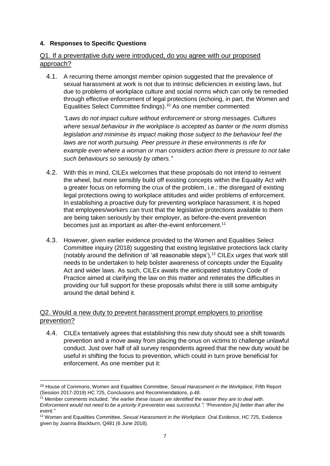#### **4. Responses to Specific Questions**

#### Q1. If a preventative duty were introduced, do you agree with our proposed approach?

4.1. A recurring theme amongst member opinion suggested that the prevalence of sexual harassment at work is not due to intrinsic deficiencies in existing laws, but due to problems of workplace culture and social norms which can only be remedied through effective enforcement of legal protections (echoing, in part, the Women and Equalities Select Committee findings).<sup>10</sup> As one member commented:

*"Laws do not impact culture without enforcement or strong messages. Cultures where sexual behaviour in the workplace is accepted as banter or the norm dismiss legislation and minimise its impact making those subject to the behaviour feel the laws are not worth pursuing. Peer pressure in these environments is rife for example even where a woman or man considers action there is pressure to not take such behaviours so seriously by others."*

- 4.2. With this in mind, CILEx welcomes that these proposals do not intend to reinvent the wheel, but more sensibly build off existing concepts within the Equality Act with a greater focus on reforming the crux of the problem, i.e.: the disregard of existing legal protections owing to workplace attitudes and wider problems of enforcement. In establishing a proactive duty for preventing workplace harassment, it is hoped that employees/workers can trust that the legislative protections available to them are being taken seriously by their employer, as before-the-event prevention becomes just as important as after-the-event enforcement.<sup>11</sup>
- 4.3. However, given earlier evidence provided to the Women and Equalities Select Committee inquiry (2018) suggesting that existing legislative protections lack clarity (notably around the definition of 'all reasonable steps'), $12$  CILEx urges that work still needs to be undertaken to help bolster awareness of concepts under the Equality Act and wider laws. As such, CILEx awaits the anticipated statutory Code of Practice aimed at clarifying the law on this matter and reiterates the difficulties in providing our full support for these proposals whilst there is still some ambiguity around the detail behind it.

#### Q2. Would a new duty to prevent harassment prompt employers to prioritise prevention?

4.4. CILEx tentatively agrees that establishing this new duty should see a shift towards prevention and a move away from placing the onus on victims to challenge unlawful conduct. Just over half of all survey respondents agreed that the new duty would be useful in shifting the focus to prevention, which could in turn prove beneficial for enforcement. As one member put it:

 $\overline{a}$ 

<sup>10</sup> House of Commons, Women and Equalities Committee, *Sexual Harassment in the Workplace,* Fifth Report (Session 2017-2019) HC 725, Conclusions and Recommendations, p.48.

<sup>&</sup>lt;sup>11</sup> Member comments included: "*the earlier these issues are identified the easier they are to deal with.* 

*Enforcement would not need to be a priority if prevention was successful."; "Prevention [is] better than after the event."*

<sup>12</sup> Women and Equalities Committee, *Sexual Harassment in the Workplace: Oral Evidence*, HC 725, Evidence given by Joanna Blackburn, Q481 (6 June 2018).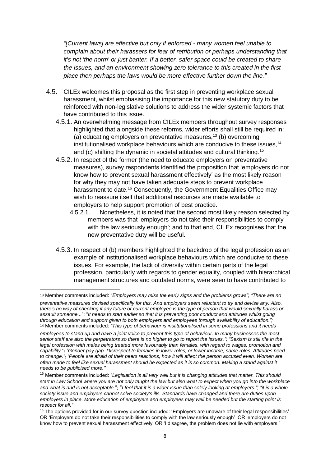*"[Current laws] are effective but only if enforced - many women feel unable to complain about their harassers for fear of retribution or perhaps understanding that it's not 'the norm' or just banter. If a better, safer space could be created to share the issues, and an environment showing zero tolerance to this created in the first place then perhaps the laws would be more effective further down the line."*

- 4.5. CILEx welcomes this proposal as the first step in preventing workplace sexual harassment, whilst emphasising the importance for this new statutory duty to be reinforced with non-legislative solutions to address the wider systemic factors that have contributed to this issue.
	- 4.5.1. An overwhelming message from CILEx members throughout survey responses highlighted that alongside these reforms, wider efforts shall still be required in: (a) educating employers on preventative measures,<sup>13</sup> (b) overcoming institutionalised workplace behaviours which are conducive to these issues.<sup>14</sup> and (c) shifting the dynamic in societal attitudes and cultural thinking. 15
	- 4.5.2. In respect of the former (the need to educate employers on preventative measures), survey respondents identified the proposition that 'employers do not know how to prevent sexual harassment effectively' as the most likely reason for why they may not have taken adequate steps to prevent workplace harassment to date.<sup>16</sup> Consequently, the Government Equalities Office may wish to reassure itself that additional resources are made available to employers to help support promotion of best practice.
		- 4.5.2.1. Nonetheless, it is noted that the second most likely reason selected by members was that 'employers do not take their responsibilities to comply with the law seriously enough'; and to that end, CILEx recognises that the new preventative duty will be useful.
	- 4.5.3. In respect of (b) members highlighted the backdrop of the legal profession as an example of institutionalised workplace behaviours which are conducive to these issues. For example, the lack of diversity within certain parts of the legal profession, particularly with regards to gender equality, coupled with hierarchical management structures and outdated norms, were seen to have contributed to

<sup>13</sup> Member comments included: "*Employers may miss the early signs and the problems grows"; "There are no preventative measures devised specifically for this. And employers seem reluctant to try and devise any. Also, there's no way of checking if any future or current employee is the type of person that would sexually harass or assault someone...*"; "*It needs to start earlier so that it is preventing poor conduct and attitudes whilst going through education and support given to both employers and employees through availability of education.";* 14 Member comments included: *"This type of behaviour is institutionalised in some professions and it needs* 

*employees to stand up and have a joint voice to prevent this type of behaviour. In many businesses the most senior staff are also the perpetrators so there is no higher to go to report the issues."; "Sexism is still rife in the legal profession with males being treated more favourably than females, with regard to wages, promotion and capability.*"; *"Gender pay gap. Disrespect to females in lower roles, or lower income, same roles. Attitudes need to change."*; *"People are afraid of their peers reactions, how it will affect the person accused even. Women are often made to feel like sexual harassment should be expected as it is so common. Making a stand against it needs to be publicised more."*

<sup>15</sup> Member comments included: "*Legislation is all very well but it is changing attitudes that matter. This should start in Law School where you are not only taught the law but also what to expect when you go into the workplace and what is and is not acceptable.*"; "*I feel that it is a wider issue than solely looking at employers."; "it is a whole society issue and employers cannot solve society's ills. Standards have changed and there are duties upon employers in place. More education of employers and employees may well be needed but the starting point is respect for all."*

<sup>&</sup>lt;sup>16</sup> The options provided for in our survey question included: 'Employers are unaware of their legal responsibilities' OR 'Employers do not take their responsibilities to comply with the law seriously enough' OR 'employers do not know how to prevent sexual harassment effectively' OR 'I disagree, the problem does not lie with employers.'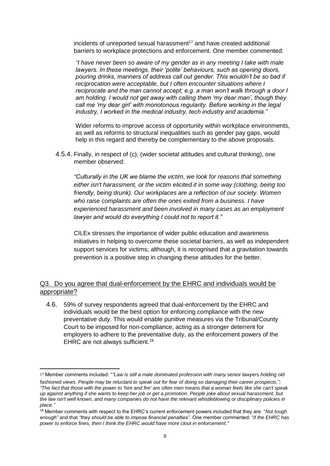$incidents$  of unreported sexual harassment $17$  and have created additional barriers to workplace protections and enforcement. One member commented:

*"I have never been so aware of my gender as in any meeting I take with male lawyers. In these meetings, their 'polite' behaviours, such as opening doors, pouring drinks, manners of address call out gender. This wouldn't be so bad if reciprocation were acceptable, but I often encounter situations where I reciprocate and the man cannot accept; e.g. a man won't walk through a door I am holding. I would not get away with calling them 'my dear man', though they call me 'my dear girl' with monotonous regularity. Before working in the legal industry, I worked in the medical industry, tech industry and academia."*

Wider reforms to improve access of opportunity within workplace environments, as well as reforms to structural inequalities such as gender pay gaps, would help in this regard and thereby be complementary to the above proposals.

4.5.4. Finally, in respect of (c), (wider societal attitudes and cultural thinking), one member observed:

*"Culturally in the UK we blame the victim, we look for reasons that something either isn't harassment, or the victim elicited it in some way (clothing, being too friendly, being drunk). Our workplaces are a reflection of our society. Women who raise complaints are often the ones exited from a business. I have experienced harassment and been involved in many cases as an employment lawyer and would do everything I could not to report it."*

CILEx stresses the importance of wider public education and awareness initiatives in helping to overcome these societal barriers, as well as independent support services for victims; although, it is recognised that a gravitation towards prevention is a positive step in changing these attitudes for the better.

## Q3. Do you agree that dual-enforcement by the EHRC and individuals would be appropriate?

4.6. 59% of survey respondents agreed that dual-enforcement by the EHRC and individuals would be the best option for enforcing compliance with the new preventative duty. This would enable punitive measures via the Tribunal/County Court to be imposed for non-compliance, acting as a stronger deterrent for employers to adhere to the preventative duty, as the enforcement powers of the EHRC are not always sufficient.<sup>18</sup>

<sup>17</sup> Member comments included: "*"Law is still a male dominated profession with many senior lawyers holding old* 

*fashioned views. People may be reluctant to speak out for fear of doing so damaging their career prospects."; "The fact that those with the power to 'hire and fire' are often men means that a woman feels like she can't speak up against anything if she wants to keep her job or get a promotion. People joke about sexual harassment, but the law isn't well known, and many companies do not have the relevant whistleblowing or disciplinary policies in place."*

<sup>18</sup> Member comments with respect to the EHRC's current enforcement powers included that they are: "*Not tough enough"* and that *"they should be able to impose financial penalties".* One member commented: "*if the EHRC has power to enforce fines, then I think the EHRC would have more clout in enforcement."*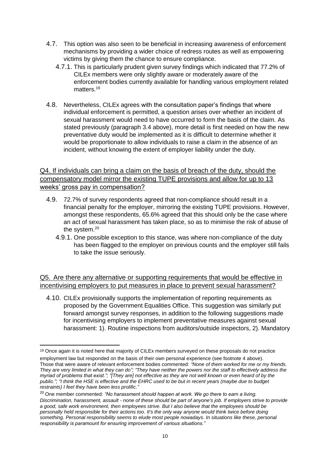- 4.7. This option was also seen to be beneficial in increasing awareness of enforcement mechanisms by providing a wider choice of redress routes as well as empowering victims by giving them the chance to ensure compliance.
	- 4.7.1. This is particularly prudent given survey findings which indicated that 77.2% of CILEx members were only slightly aware or moderately aware of the enforcement bodies currently available for handling various employment related matters.<sup>19</sup>
- 4.8. Nevertheless, CILEx agrees with the consultation paper's findings that where individual enforcement is permitted, a question arises over whether an incident of sexual harassment would need to have occurred to form the basis of the claim. As stated previously (paragraph 3.4 above), more detail is first needed on how the new preventative duty would be implemented as it is difficult to determine whether it would be proportionate to allow individuals to raise a claim in the absence of an incident, without knowing the extent of employer liability under the duty.

## Q4. If individuals can bring a claim on the basis of breach of the duty, should the compensatory model mirror the existing TUPE provisions and allow for up to 13 weeks' gross pay in compensation?

- 4.9. 72.7% of survey respondents agreed that non-compliance should result in a financial penalty for the employer, mirroring the existing TUPE provisions. However, amongst these respondents, 65.6% agreed that this should only be the case where an act of sexual harassment has taken place, so as to minimise the risk of abuse of the system.<sup>20</sup>
	- 4.9.1. One possible exception to this stance, was where non-compliance of the duty has been flagged to the employer on previous counts and the employer still fails to take the issue seriously.

Q5. Are there any alternative or supporting requirements that would be effective in incentivising employers to put measures in place to prevent sexual harassment?

4.10. CILEx provisionally supports the implementation of reporting requirements as proposed by the Government Equalities Office. This suggestion was similarly put forward amongst survey responses, in addition to the following suggestions made for incentivising employers to implement preventative measures against sexual harassment: 1). Routine inspections from auditors/outside inspectors, 2). Mandatory

 $\overline{a}$ 

<sup>19</sup> Once again it is noted here that majority of CILEx members surveyed on these proposals do not practice

employment law but responded on the basis of their own personal experience (see footnote 4 above). Those that were aware of relevant enforcement bodies commented: *"None of them worked for me or my friends. They are very limited in what they can do"; "They have neither the powers nor the staff to effectively address the myriad of problems that exist."; "[They are] not effective as they are not well known or even heard of by the public."; "I think the HSE is effective and the EHRC used to be but in recent years (maybe due to budget restraints) I feel they have been less prolific."*

<sup>&</sup>lt;sup>20</sup> One member commented: "No harassment should happen at work. We go there to earn a living. *Discrimination, harassment, assault - none of these should be part of anyone's job. If employers strive to provide a good, safe work environment, then employees strive. But I also believe that the employees should be personally held responsible for their actions too. It's the only way anyone would think twice before doing something. Personal responsibility seems to elude most people nowadays. In situations like these, personal responsibility is paramount for ensuring improvement of various situations."*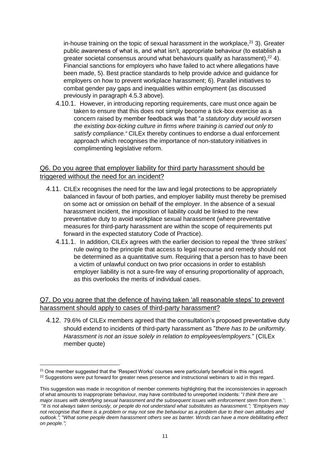in-house training on the topic of sexual harassment in the workplace, $^{21}$  3). Greater public awareness of what is, and what isn't, appropriate behaviour (to establish a greater societal consensus around what behaviours qualify as harassment),  $22$  4). Financial sanctions for employers who have failed to act where allegations have been made, 5). Best practice standards to help provide advice and guidance for employers on how to prevent workplace harassment; 6). Parallel initiatives to combat gender pay gaps and inequalities within employment (as discussed previously in paragraph 4.5.3 above).

4.10.1. However, in introducing reporting requirements, care must once again be taken to ensure that this does not simply become a tick-box exercise as a concern raised by member feedback was that "*a statutory duty would worsen the existing box-ticking culture in firms where training is carried out only to satisfy compliance.*" CILEx thereby continues to endorse a dual enforcement approach which recognises the importance of non-statutory initiatives in complimenting legislative reform.

#### Q6. Do you agree that employer liability for third party harassment should be triggered without the need for an incident?

- 4.11. CILEx recognises the need for the law and legal protections to be appropriately balanced in favour of both parties, and employer liability must thereby be premised on some act or omission on behalf of the employer. In the absence of a sexual harassment incident, the imposition of liability could be linked to the new preventative duty to avoid workplace sexual harassment (where preventative measures for third-party harassment are within the scope of requirements put forward in the expected statutory Code of Practice).
	- 4.11.1. In addition, CILEx agrees with the earlier decision to repeal the 'three strikes' rule owing to the principle that access to legal recourse and remedy should not be determined as a quantitative sum. Requiring that a person has to have been a victim of unlawful conduct on two prior occasions in order to establish employer liability is not a sure-fire way of ensuring proportionality of approach, as this overlooks the merits of individual cases.

## Q7. Do you agree that the defence of having taken 'all reasonable steps' to prevent harassment should apply to cases of third-party harassment?

4.12. 79.6% of CILEx members agreed that the consultation's proposed preventative duty should extend to incidents of third-party harassment as "*there has to be uniformity. Harassment is not an issue solely in relation to employees/employers.*" (CILEx member quote)

 $\overline{a}$ 

 $21$  One member suggested that the 'Respect Works' courses were particularly beneficial in this regard.

<sup>&</sup>lt;sup>22</sup> Suggestions were put forward for greater news presence and instructional webinars to aid in this regard.

This suggestion was made in recognition of member comments highlighting that the inconsistencies in approach of what amounts to inappropriate behaviour, may have contributed to unreported incidents: "*I think there are major issues with identifying sexual harassment and the subsequent issues with enforcement stem from there.*"; "*It is not always taken seriously, or people do not understand what substitutes as harassment."; "Employers may not recognise that there is a problem or may not see the behaviour as a problem due to their own attitudes and outlook.";* "*What some people deem harassment others see as banter. Words can have a more debilitating effect on people.";*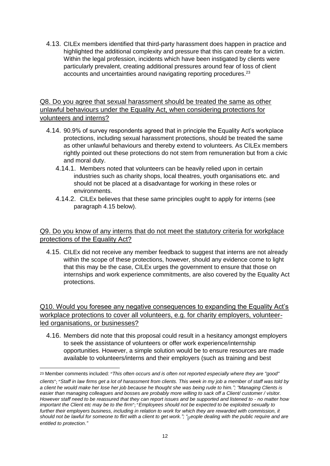4.13. CILEx members identified that third-party harassment does happen in practice and highlighted the additional complexity and pressure that this can create for a victim. Within the legal profession, incidents which have been instigated by clients were particularly prevalent, creating additional pressures around fear of loss of client accounts and uncertainties around navigating reporting procedures.<sup>23</sup>

## Q8. Do you agree that sexual harassment should be treated the same as other unlawful behaviours under the Equality Act, when considering protections for volunteers and interns?

- 4.14. 90.9% of survey respondents agreed that in principle the Equality Act's workplace protections, including sexual harassment protections, should be treated the same as other unlawful behaviours and thereby extend to volunteers. As CILEx members rightly pointed out these protections do not stem from remuneration but from a civic and moral duty.
	- 4.14.1. Members noted that volunteers can be heavily relied upon in certain industries such as charity shops, local theatres, youth organisations etc. and should not be placed at a disadvantage for working in these roles or environments.
	- 4.14.2. CILEx believes that these same principles ought to apply for interns (see paragraph 4.15 below).

#### Q9. Do you know of any interns that do not meet the statutory criteria for workplace protections of the Equality Act?

4.15. CILEx did not receive any member feedback to suggest that interns are not already within the scope of these protections, however, should any evidence come to light that this may be the case, CILEx urges the government to ensure that those on internships and work experience commitments, are also covered by the Equality Act protections.

## Q10. Would you foresee any negative consequences to expanding the Equality Act's workplace protections to cover all volunteers, e.g. for charity employers, volunteerled organisations, or businesses?

4.16. Members did note that this proposal could result in a hesitancy amongst employers to seek the assistance of volunteers or offer work experience/internship opportunities. However, a simple solution would be to ensure resources are made available to volunteers/interns and their employers (such as training and best

**.** 

<sup>23</sup> Member comments included: "*This often occurs and is often not reported especially where they are "good" clients*"; "*Staff in law firms get a lot of harassment from clients. This week in my job a member of staff was told by a client he would make her lose her job because he thought she was being rude to him."; "Managing Clients is easier than managing colleagues and bosses are probably more willing to sack off a Client/ customer / visitor. However staff need to be reassured that they can report issues and be supported and listened to - no matter how important the Client etc may be to the firm*"; "*Employees should not be expected to be exploited sexually to*  further their employers business, including in relation to work for which they are rewarded with commission, it *should not be lawful for someone to flirt with a client to get work."; "*p*eople dealing with the public require and are entitled to protection."*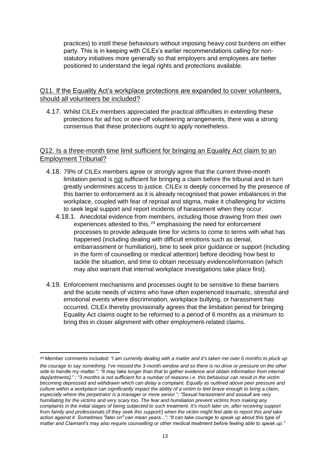practices) to instil these behaviours without imposing heavy cost burdens on either party. This is in keeping with CILEx's earlier recommendations calling for nonstatutory initiatives more generally so that employers and employees are better positioned to understand the legal rights and protections available.

#### Q11. If the Equality Act's workplace protections are expanded to cover volunteers, should all volunteers be included?

4.17. Whilst CILEx members appreciated the practical difficulties in extending these protections for ad hoc or one-off volunteering arrangements, there was a strong consensus that these protections ought to apply nonetheless.

#### Q12. Is a three-month time limit sufficient for bringing an Equality Act claim to an Employment Tribunal?

- 4.18. 79% of CILEx members agree or strongly agree that the current three-month limitation period is not sufficient for bringing a claim before the tribunal and in turn greatly undermines access to justice. CILEx is deeply concerned by the presence of this barrier to enforcement as it is already recognised that power imbalances in the workplace, coupled with fear of reprisal and stigma, make it challenging for victims to seek legal support and report incidents of harassment when they occur.
	- 4.18.1. Anecdotal evidence from members, including those drawing from their own experiences attested to this, <sup>24</sup> emphasising the need for enforcement processes to provide adequate time for victims to come to terms with what has happened (including dealing with difficult emotions such as denial, embarrassment or humiliation), time to seek prior guidance or support (including in the form of counselling or medical attention) before deciding how best to tackle the situation, and time to obtain necessary evidence/information (which may also warrant that internal workplace investigations take place first).
- 4.19. Enforcement mechanisms and processes ought to be sensitive to these barriers and the acute needs of victims who have often experienced traumatic, stressful and emotional events where discrimination, workplace bullying, or harassment has occurred. CILEx thereby provisionally agrees that the limitation period for bringing Equality Act claims ought to be reformed to a period of 6 months as a minimum to bring this in closer alignment with other employment-related claims.

<sup>1</sup> 24 Member comments included: *"I am currently dealing with a matter and it's taken me over 6 months to pluck up* 

*the courage to say something. I've missed the 3-month window and so there is no drive or pressure on the other side to handle my matter."; "It may take longer than that to gather evidence and obtain information from internal dep[artments]." ; "3 months is not sufficient for a number of reasons i.e. this behaviour can result in the victim becoming depressed and withdrawn which can delay a complaint. Equally as outlined above peer pressure and culture within a workplace can significantly impact the ability of a victim to feel brave enough to bring a claim, especially where the perpetrator is a manager or more senior."; "Sexual harassment and assault are very humiliating for the victims and very scary too. The fear and humiliation prevent victims from making any complaints in the initial stages of being subjected to such treatment. It's much later on, after receiving support from family and professionals (if they seek this support!) when the victim might feel able to report this and take action against it. Sometimes "later on" can mean years..."; "It can take courage to speak up about this type of matter and Claimant's may also require counselling or other medical treatment before feeling able to speak up."*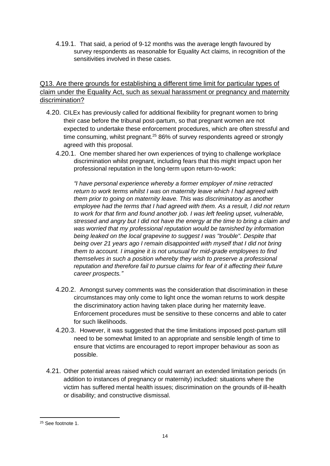4.19.1. That said, a period of 9-12 months was the average length favoured by survey respondents as reasonable for Equality Act claims, in recognition of the sensitivities involved in these cases.

## Q13. Are there grounds for establishing a different time limit for particular types of claim under the Equality Act, such as sexual harassment or pregnancy and maternity discrimination?

- 4.20. CILEx has previously called for additional flexibility for pregnant women to bring their case before the tribunal post-partum, so that pregnant women are not expected to undertake these enforcement procedures, which are often stressful and time consuming, whilst pregnant.<sup>25</sup> 86% of survey respondents agreed or strongly agreed with this proposal.
	- 4.20.1. One member shared her own experiences of trying to challenge workplace discrimination whilst pregnant, including fears that this might impact upon her professional reputation in the long-term upon return-to-work:

*"I have personal experience whereby a former employer of mine retracted return to work terms whilst I was on maternity leave which I had agreed with them prior to going on maternity leave. This was discriminatory as another employee had the terms that I had agreed with them. As a result, I did not return to work for that firm and found another job. I was left feeling upset, vulnerable, stressed and angry but I did not have the energy at the time to bring a claim and was worried that my professional reputation would be tarnished by information being leaked on the local grapevine to suggest I was "trouble". Despite that being over 21 years ago I remain disappointed with myself that I did not bring them to account. I imagine it is not unusual for mid-grade employees to find themselves in such a position whereby they wish to preserve a professional reputation and therefore fail to pursue claims for fear of it affecting their future career prospects."*

- 4.20.2. Amongst survey comments was the consideration that discrimination in these circumstances may only come to light once the woman returns to work despite the discriminatory action having taken place during her maternity leave. Enforcement procedures must be sensitive to these concerns and able to cater for such likelihoods.
- 4.20.3. However, it was suggested that the time limitations imposed post-partum still need to be somewhat limited to an appropriate and sensible length of time to ensure that victims are encouraged to report improper behaviour as soon as possible.
- 4.21. Other potential areas raised which could warrant an extended limitation periods (in addition to instances of pregnancy or maternity) included: situations where the victim has suffered mental health issues; discrimination on the grounds of ill-health or disability; and constructive dismissal.

<sup>1</sup> <sup>25</sup> See footnote 1.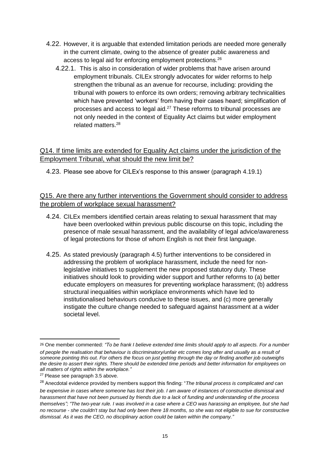- 4.22. However, it is arguable that extended limitation periods are needed more generally in the current climate, owing to the absence of greater public awareness and access to legal aid for enforcing employment protections.<sup>26</sup>
	- 4.22.1. This is also in consideration of wider problems that have arisen around employment tribunals. CILEx strongly advocates for wider reforms to help strengthen the tribunal as an avenue for recourse, including: providing the tribunal with powers to enforce its own orders; removing arbitrary technicalities which have prevented 'workers' from having their cases heard; simplification of processes and access to legal aid.<sup>27</sup> These reforms to tribunal processes are not only needed in the context of Equality Act claims but wider employment related matters.<sup>28</sup>

#### Q14. If time limits are extended for Equality Act claims under the jurisdiction of the Employment Tribunal, what should the new limit be?

4.23. Please see above for CILEx's response to this answer (paragraph 4.19.1)

## Q15. Are there any further interventions the Government should consider to address the problem of workplace sexual harassment?

- 4.24. CILEx members identified certain areas relating to sexual harassment that may have been overlooked within previous public discourse on this topic, including the presence of male sexual harassment, and the availability of legal advice/awareness of legal protections for those of whom English is not their first language.
- 4.25. As stated previously (paragraph 4.5) further interventions to be considered in addressing the problem of workplace harassment, include the need for nonlegislative initiatives to supplement the new proposed statutory duty. These initiatives should look to providing wider support and further reforms to (a) better educate employers on measures for preventing workplace harassment; (b) address structural inequalities within workplace environments which have led to institutionalised behaviours conducive to these issues, and (c) more generally instigate the culture change needed to safeguard against harassment at a wider societal level.

<sup>26</sup> One member commented: *"To be frank I believe extended time limits should apply to all aspects. For a number of people the realisation that behaviour is discriminatory/unfair etc comes long after and usually as a result of someone pointing this out. For others the focus on just getting through the day or finding another job outweighs the desire to assert their rights. There should be extended time periods and better information for employees on all matters of rights within the workplace."*

<sup>&</sup>lt;sup>27</sup> Please see paragraph 3.5 above.

<sup>28</sup> Anecdotal evidence provided by members support this finding: "*The tribunal process is complicated and can be expensive in cases where someone has lost their job. I am aware of instances of constructive dismissal and harassment that have not been pursued by friends due to a lack of funding and understanding of the process themselves"; "The two-year rule. I was involved in a case where a CEO was harassing an employee, but she had no recourse - she couldn't stay but had only been there 18 months, so she was not eligible to sue for constructive dismissal. As it was the CEO, no disciplinary action could be taken within the company."*